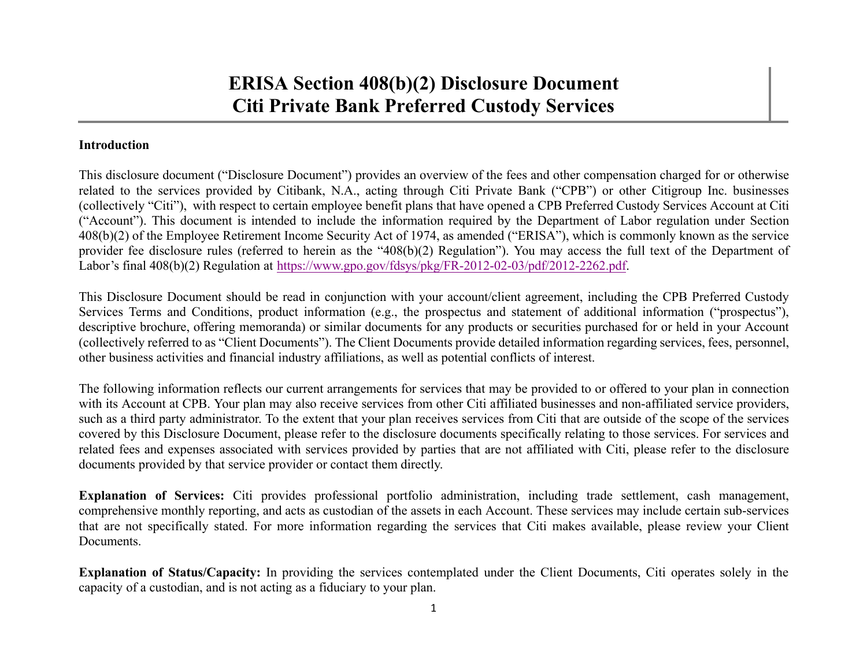### **Introduction**

This disclosure document ("Disclosure Document") provides an overview of the fees and other compensation charged for or otherwise related to the services provided by Citibank, N.A., acting through Citi Private Bank ("CPB") or other Citigroup Inc. businesses (collectively "Citi"), with respec<sup>t</sup> to certain employee benefit plans that have opened <sup>a</sup> CPB Preferred Custody Services Account at Citi ("Account"). This document is intended to include the information required by the Department of Labor regulation under Section 408(b)(2) of the Employee Retirement Income Security Act of 1974, as amended ("ERISA"), which is commonly known as the service provider fee disclosure rules (referred to herein as the "408(b)(2) Regulation"). You may access the full text of the Department of Labor's final 408(b)(2) Regulation at https://www.gpo.gov/fdsys/pkg/FR-2012-02-03/pdf/2012-2262.pdf.

This Disclosure Document should be read in conjunction with your account/client agreement, including the CPB Preferred Custody Services Terms and Conditions, product information (e.g., the prospectus and statement of additional information ("prospectus"), descriptive brochure, offering memoranda) or similar documents for any products or securities purchased for or held in your Account (collectively referred to as "Client Documents"). The Client Documents provide detailed information regarding services, fees, personnel, other business activities and financial industry affiliations, as well as potential conflicts of interest.

The following information reflects our current arrangements for services that may be provided to or offered to your plan in connection with its Account at CPB. Your plan may also receive services from other Citi affiliated businesses and non-affiliated service providers, such as <sup>a</sup> third party administrator. To the extent that your plan receives services from Citi that are outside of the scope of the services covered by this Disclosure Document, please refer to the disclosure documents specifically relating to those services. For services and related fees and expenses associated with services provided by parties that are not affiliated with Citi, please refer to the disclosure documents provided by that service provider or contact them directly.

**Explanation** of Services: Citi provides professional portfolio administration, including trade settlement, cash management, comprehensive monthly reporting, and acts as custodian of the assets in each Account. These services may include certain sub-services that are not specifically stated. For more information regarding the services that Citi makes available, please review your Client Documents.

**Explanation of Status/Capacity:** In providing the services contemplated under the Client Documents, Citi operates solely in the capacity of <sup>a</sup> custodian, and is not acting as <sup>a</sup> fiduciary to your plan.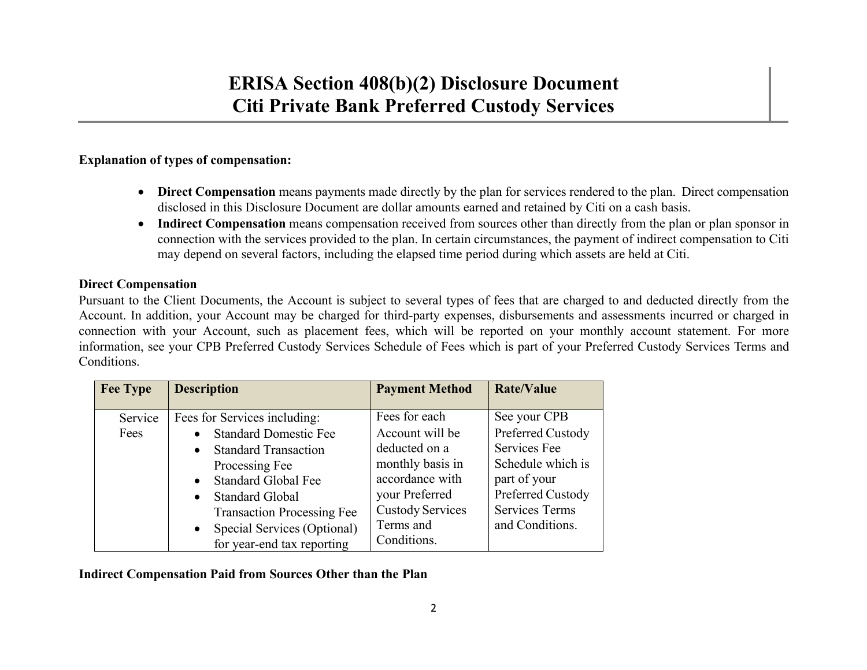### **Explanation of types of compensation:**

- **Direct Compensation** means payments made directly by the plan for services rendered to the plan. Direct compensation disclosed in this Disclosure Document are dollar amounts earned and retained by Citi on <sup>a</sup> cash basis.
- Indirect Compensation means compensation received from sources other than directly from the plan or plan sponsor in connection with the services provided to the plan. In certain circumstances, the paymen<sup>t</sup> of indirect compensation to Citi may depend on several factors, including the elapsed time period during which assets are held at Citi.

### **Direct Compensation**

Pursuant to the Client Documents, the Account is subject to several types of fees that are charged to and deducted directly from the Account. In addition, your Account may be charged for third-party expenses, disbursements and assessments incurred or charged in connection with your Account, such as placement fees, which will be reported on your monthly account statement. For more information, see your CPB Preferred Custody Services Schedule of Fees which is par<sup>t</sup> of your Preferred Custody Services Terms and Conditions.

| <b>Fee Type</b> | <b>Description</b>                      | <b>Payment Method</b>   | <b>Rate/Value</b>     |
|-----------------|-----------------------------------------|-------------------------|-----------------------|
|                 |                                         |                         |                       |
| Service         | Fees for Services including:            | Fees for each           | See your CPB          |
| Fees            | <b>Standard Domestic Fee</b>            | Account will be         | Preferred Custody     |
|                 | <b>Standard Transaction</b>             | deducted on a           | Services Fee          |
|                 | Processing Fee                          | monthly basis in        | Schedule which is     |
|                 | <b>Standard Global Fee</b><br>$\bullet$ | accordance with         | part of your          |
|                 | • Standard Global                       | your Preferred          | Preferred Custody     |
|                 | <b>Transaction Processing Fee</b>       | <b>Custody Services</b> | <b>Services Terms</b> |
|                 | Special Services (Optional)             | Terms and               | and Conditions.       |
|                 | for year-end tax reporting              | Conditions.             |                       |

### **Indirect Compensation Paid from Sources Other than the Plan**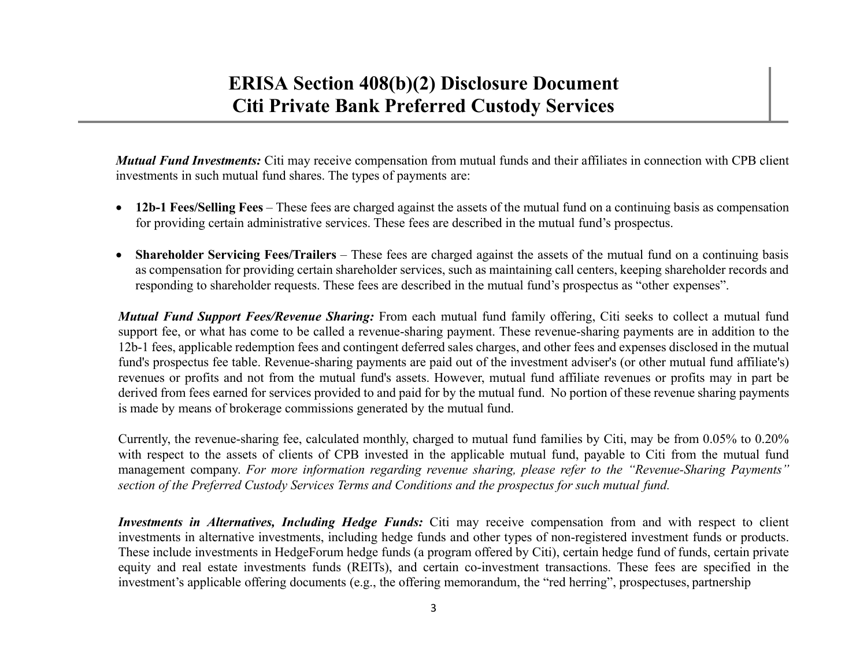*Mutual Fund Investments:* Citi may receive compensation from mutual funds and their affiliates in connection with CPB client investments in such mutual fund shares. The types of payments are:

- **12b-1 Fees/Selling Fees** These fees are charged against the assets of the mutual fund on <sup>a</sup> continuing basis as compensation for providing certain administrative services. These fees are described in the mutual fund's prospectus.
- $\bullet$ **Shareholder Servicing Fees/Trailers** – These fees are charged against the assets of the mutual fund on a continuing basis as compensation for providing certain shareholder services, such as maintaining call centers, keeping shareholder records and responding to shareholder requests. These fees are described in the mutual fund's prospectus as "other expenses".

*Mutual Fund Support Fees/Revenue Sharing:* From each mutual fund family offering, Citi seeks to collect <sup>a</sup> mutual fund suppor<sup>t</sup> fee, or what has come to be called <sup>a</sup> revenue-sharing payment. These revenue-sharing payments are in addition to the 12b-1 fees, applicable redemption fees and contingent deferred sales charges, and other fees and expenses disclosed in the mutual fund's prospectus fee table. Revenue-sharing payments are paid out of the investment adviser's (or other mutual fund affiliate's) revenues or profits and not from the mutual fund's assets. However, mutual fund affiliate revenues or profits may in par<sup>t</sup> be derived from fees earned for services provided to and paid for by the mutual fund. No portion of these revenue sharing payments is made by means of brokerage commissions generated by the mutual fund.

Currently, the revenue-sharing fee, calculated monthly, charged to mutual fund families by Citi, may be from 0.05% to 0.20% with respec<sup>t</sup> to the assets of clients of CPB invested in the applicable mutual fund, payable to Citi from the mutual fund management company. For more information regarding revenue sharing, please refer to the "Revenue-Sharing Payments" section of the Preferred Custody Services Terms and Conditions and the prospectus for such mutual fund.

*Investments in Alternatives, Including Hedge Funds:* Citi may receive compensation from and with respec<sup>t</sup> to client investments in alternative investments, including hedge funds and other types of non-registered investment funds or products. These include investments in HedgeForum hedge funds (a program offered by Citi), certain hedge fund of funds, certain private equity and real estate investments funds (REITs), and certain co-investment transactions. These fees are specified in the investment's applicable offering documents (e.g., the offering memorandum, the "red herring", prospectuses, partnership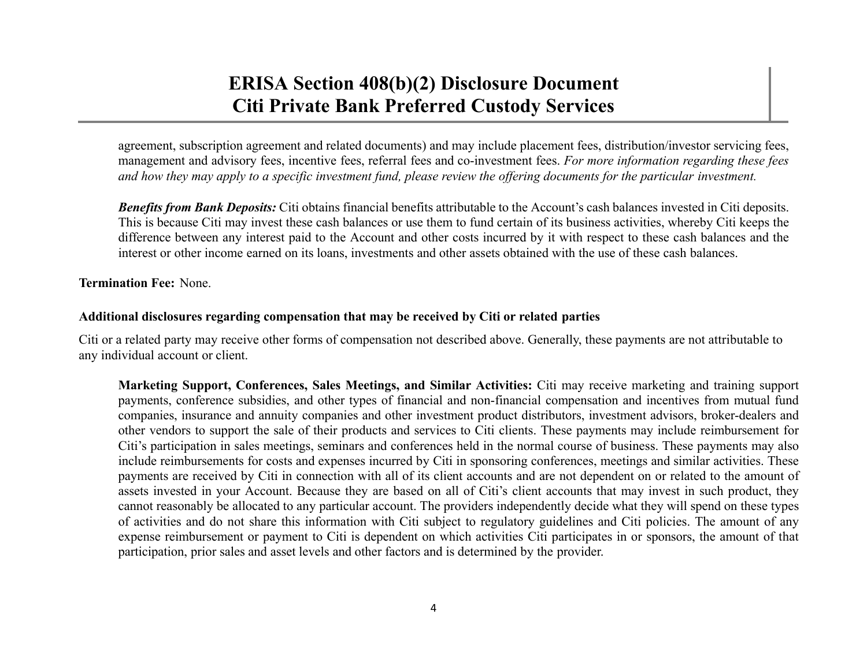agreement, subscription agreemen<sup>t</sup> and related documents) and may include placement fees, distribution/investor servicing fees, managemen<sup>t</sup> and advisory fees, incentive fees, referral fees and co-investment fees. *For more information regarding these fees* and how they may apply to a specific investment fund, please review the offering documents for the particular investment.

*Benefits from Bank Deposits:* Citi obtains financial benefits attributable to the Account's cash balances invested in Citi deposits. This is because Citi may invest these cash balances or use them to fund certain of its business activities, whereby Citi keeps the difference between any interest paid to the Account and other costs incurred by it with respec<sup>t</sup> to these cash balances and the interest or other income earned on its loans, investments and other assets obtained with the use of these cash balances.

**Termination Fee:** None.

### **Additional disclosures regarding compensation that may be received by Citi or related parties**

Citi or a related party may receive other forms of compensation not described above. Generally, these payments are not attributable to any individual account or client.

**Marketing Support, Conferences, Sales Meetings, and Similar Activities:** Citi may receive marketing and training suppor<sup>t</sup> payments, conference subsidies, and other types of financial and non-financial compensation and incentives from mutual fund companies, insurance and annuity companies and other investment product distributors, investment advisors, broker-dealers and other vendors to suppor<sup>t</sup> the sale of their products and services to Citi clients. These payments may include reimbursement for Citi's participation in sales meetings, seminars and conferences held in the normal course of business. These payments may also include reimbursements for costs and expenses incurred by Citi in sponsoring conferences, meetings and similar activities. These payments are received by Citi in connection with all of its client accounts and are not dependent on or related to the amount of assets invested in your Account. Because they are based on all of Citi's client accounts that may invest in such product, they cannot reasonably be allocated to any particular account. The providers independently decide what they will spend on these types of activities and do not share this information with Citi subject to regulatory guidelines and Citi policies. The amount of any expense reimbursement or paymen<sup>t</sup> to Citi is dependent on which activities Citi participates in or sponsors, the amount of that participation, prior sales and asset levels and other factors and is determined by the provider.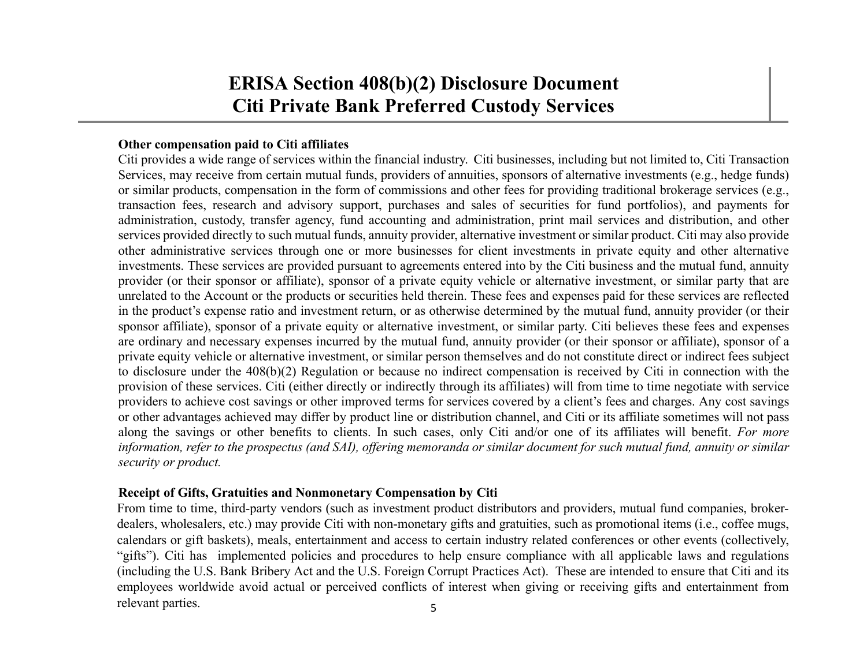#### **Other compensation paid to Citi affiliates**

Citi provides <sup>a</sup> wide range of services within the financial industry. Citi businesses, including but not limited to, Citi Transaction Services, may receive from certain mutual funds, providers of annuities, sponsors of alternative investments (e.g., hedge funds) or similar products, compensation in the form of commissions and other fees for providing traditional brokerage services (e.g., transaction fees, research and advisory support, purchases and sales of securities for fund portfolios), and payments for administration, custody, transfer agency, fund accounting and administration, print mail services and distribution, and other services provided directly to such mutual funds, annuity provider, alternative investment or similar product. Citi may also provide other administrative services through one or more businesses for client investments in private equity and other alternative investments. These services are provided pursuan<sup>t</sup> to agreements entered into by the Citi business and the mutual fund, annuity provider (or their sponsor or affiliate), sponsor of <sup>a</sup> private equity vehicle or alternative investment, or similar party that are unrelated to the Account or the products or securities held therein. These fees and expenses paid for these services are reflected in the product's expense ratio and investment return, or as otherwise determined by the mutual fund, annuity provider (or their sponsor affiliate), sponsor of <sup>a</sup> private equity or alternative investment, or similar party. Citi believes these fees and expenses are ordinary and necessary expenses incurred by the mutual fund, annuity provider (or their sponsor or affiliate), sponsor of <sup>a</sup> private equity vehicle or alternative investment, or similar person themselves and do not constitute direct or indirect fees subject to disclosure under the 408(b)(2) Regulation or because no indirect compensation is received by Citi in connection with the provision of these services. Citi (either directly or indirectly through its affiliates) will from time to time negotiate with service providers to achieve cost savings or other improved terms for services covered by <sup>a</sup> client's fees and charges. Any cost savings or other advantages achieved may differ by product line or distribution channel, and Citi or its affiliate sometimes will not pass along the savings or other benefits to clients. In such cases, only Citi and/or one of its affiliates will benefit. *For more* information, refer to the prospectus (and SAI), offering memoranda or similar document for such mutual fund, annuity or similar *security or product.*

### **Receipt of Gifts, Gratuities and Nonmonetary Compensation by Citi**

From time to time, third-party vendors (such as investment product distributors and providers, mutual fund companies, brokerdealers, wholesalers, etc.) may provide Citi with non-monetary gifts and gratuities, such as promotional items (i.e., coffee mugs, calendars or gift baskets), meals, entertainment and access to certain industry related conferences or other events (collectively, "gifts"). Citi has implemented policies and procedures to help ensure compliance with all applicable laws and regulations (including the U.S. Bank Bribery Act and the U.S. Foreign Corrupt Practices Act). These are intended to ensure that Citi and its employees worldwide avoid actual or perceived conflicts of interest when giving or receiving gifts and entertainment from relevant parties. 5